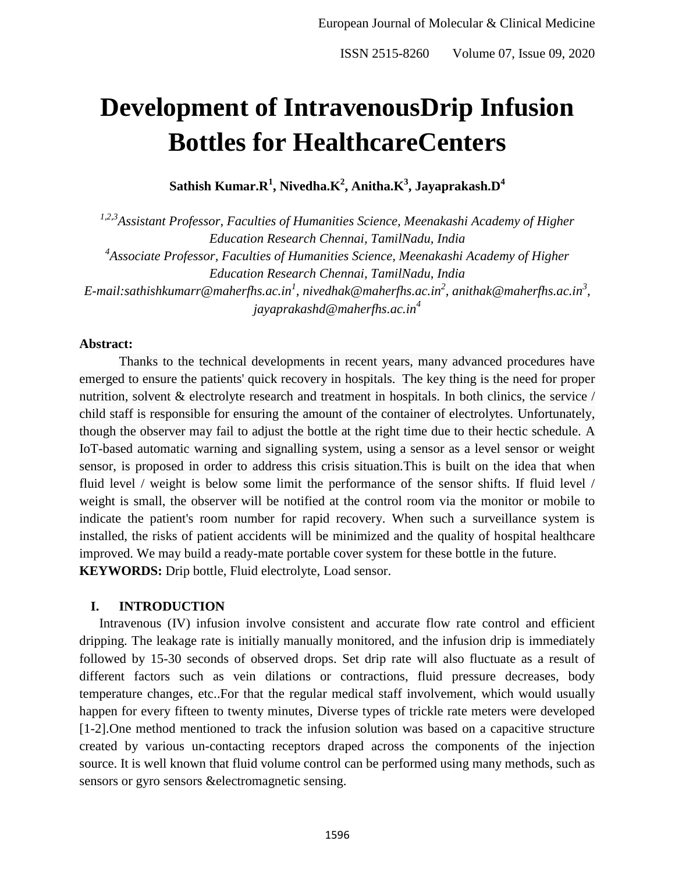# **Development of IntravenousDrip Infusion Bottles for HealthcareCenters**

**Sathish Kumar.R<sup>1</sup> , Nivedha.K<sup>2</sup> , Anitha.K<sup>3</sup> , Jayaprakash.D<sup>4</sup>**

*1,2,3Assistant Professor, Faculties of Humanities Science, Meenakashi Academy of Higher Education Research Chennai, TamilNadu, India 4 Associate Professor, Faculties of Humanities Science, Meenakashi Academy of Higher Education Research Chennai, TamilNadu, India E-mail:sathishkumarr@maherfhs.ac.in<sup>1</sup> , nivedhak@maherfhs.ac.in<sup>2</sup> , anithak@maherfhs.ac.in<sup>3</sup> , jayaprakashd@maherfhs.ac.in<sup>4</sup>*

### **Abstract:**

Thanks to the technical developments in recent years, many advanced procedures have emerged to ensure the patients' quick recovery in hospitals. The key thing is the need for proper nutrition, solvent & electrolyte research and treatment in hospitals. In both clinics, the service / child staff is responsible for ensuring the amount of the container of electrolytes. Unfortunately, though the observer may fail to adjust the bottle at the right time due to their hectic schedule. A IoT-based automatic warning and signalling system, using a sensor as a level sensor or weight sensor, is proposed in order to address this crisis situation.This is built on the idea that when fluid level / weight is below some limit the performance of the sensor shifts. If fluid level / weight is small, the observer will be notified at the control room via the monitor or mobile to indicate the patient's room number for rapid recovery. When such a surveillance system is installed, the risks of patient accidents will be minimized and the quality of hospital healthcare improved. We may build a ready-mate portable cover system for these bottle in the future. **KEYWORDS:** Drip bottle, Fluid electrolyte, Load sensor.

# **I. INTRODUCTION**

Intravenous (IV) infusion involve consistent and accurate flow rate control and efficient dripping. The leakage rate is initially manually monitored, and the infusion drip is immediately followed by 15-30 seconds of observed drops. Set drip rate will also fluctuate as a result of different factors such as vein dilations or contractions, fluid pressure decreases, body temperature changes, etc..For that the regular medical staff involvement, which would usually happen for every fifteen to twenty minutes, Diverse types of trickle rate meters were developed [1-2].One method mentioned to track the infusion solution was based on a capacitive structure created by various un-contacting receptors draped across the components of the injection source. It is well known that fluid volume control can be performed using many methods, such as sensors or gyro sensors &electromagnetic sensing.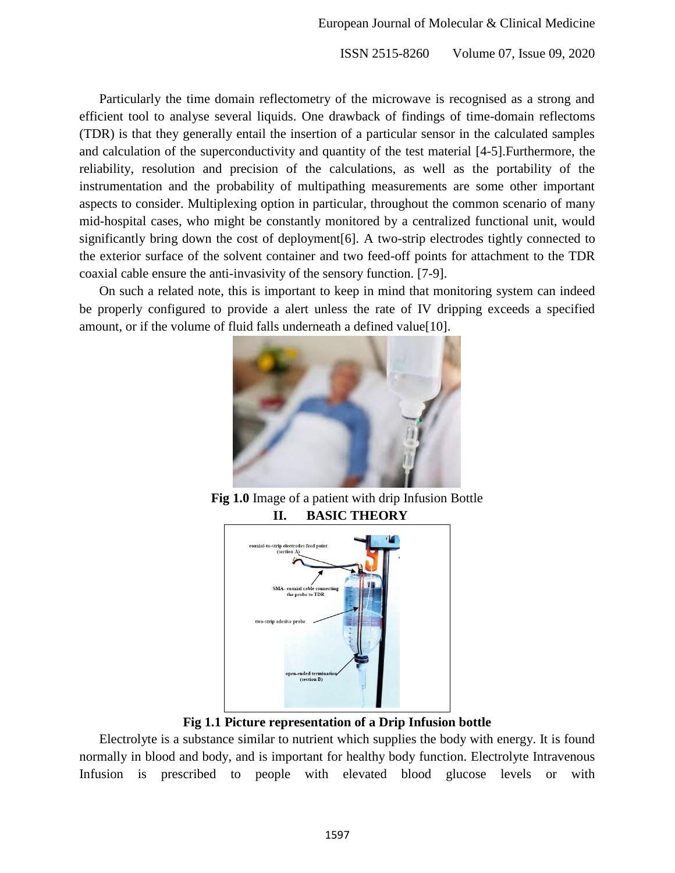Particularly the time domain reflectometry of the microwave is recognised as a strong and efficient tool to analyse several liquids. One drawback of findings of time-domain reflectoms (TDR) is that they generally entail the insertion of a particular sensor in the calculated samples and calculation of the superconductivity and quantity of the test material [4-5].Furthermore, the reliability, resolution and precision of the calculations, as well as the portability of the instrumentation and the probability of multipathing measurements are some other important aspects to consider. Multiplexing option in particular, throughout the common scenario of many mid-hospital cases, who might be constantly monitored by a centralized functional unit, would significantly bring down the cost of deployment[6]. A two-strip electrodes tightly connected to the exterior surface of the solvent container and two feed-off points for attachment to the TDR coaxial cable ensure the anti-invasivity of the sensory function. [7-9].

On such a related note, this is important to keep in mind that monitoring system can indeed be properly configured to provide a alert unless the rate of IV dripping exceeds a specified amount, or if the volume of fluid falls underneath a defined value[10].



**Fig 1.0** Image of a patient with drip Infusion Bottle **II. BASIC THEORY**



**Fig 1.1 Picture representation of a Drip Infusion bottle**

Electrolyte is a substance similar to nutrient which supplies the body with energy. It is found normally in blood and body, and is important for healthy body function. Electrolyte Intravenous Infusion is prescribed to people with elevated blood glucose levels or with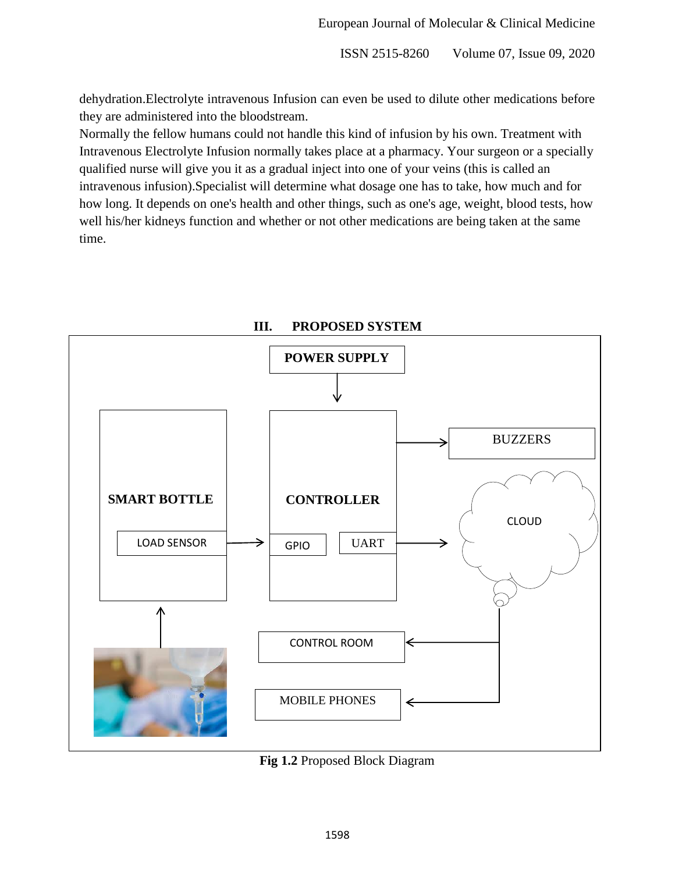dehydration.Electrolyte intravenous Infusion can even be used to dilute other medications before they are administered into the bloodstream.

Normally the fellow humans could not handle this kind of infusion by his own. Treatment with Intravenous Electrolyte Infusion normally takes place at a pharmacy. Your surgeon or a specially qualified nurse will give you it as a gradual inject into one of your veins (this is called an intravenous infusion).Specialist will determine what dosage one has to take, how much and for how long. It depends on one's health and other things, such as one's age, weight, blood tests, how well his/her kidneys function and whether or not other medications are being taken at the same time.



**III. PROPOSED SYSTEM**

**Fig 1.2** Proposed Block Diagram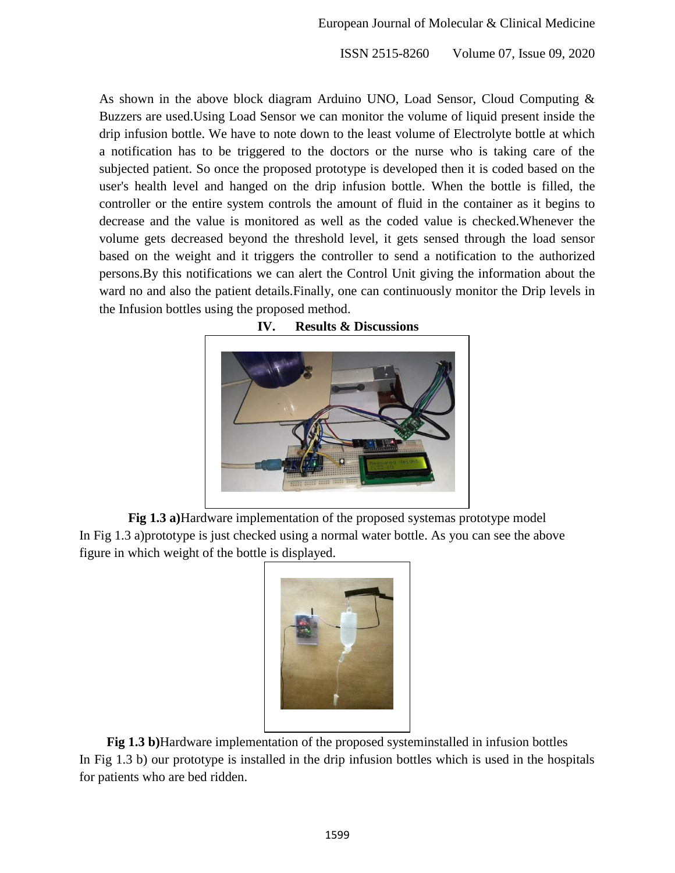As shown in the above block diagram Arduino UNO, Load Sensor, Cloud Computing & Buzzers are used.Using Load Sensor we can monitor the volume of liquid present inside the drip infusion bottle. We have to note down to the least volume of Electrolyte bottle at which a notification has to be triggered to the doctors or the nurse who is taking care of the subjected patient. So once the proposed prototype is developed then it is coded based on the user's health level and hanged on the drip infusion bottle. When the bottle is filled, the controller or the entire system controls the amount of fluid in the container as it begins to decrease and the value is monitored as well as the coded value is checked.Whenever the volume gets decreased beyond the threshold level, it gets sensed through the load sensor based on the weight and it triggers the controller to send a notification to the authorized persons.By this notifications we can alert the Control Unit giving the information about the ward no and also the patient details.Finally, one can continuously monitor the Drip levels in the Infusion bottles using the proposed method.



**IV. Results & Discussions**

**Fig 1.3 a)**Hardware implementation of the proposed systemas prototype model In Fig 1.3 a)prototype is just checked using a normal water bottle. As you can see the above figure in which weight of the bottle is displayed.



**Fig 1.3 b)**Hardware implementation of the proposed systeminstalled in infusion bottles In Fig 1.3 b) our prototype is installed in the drip infusion bottles which is used in the hospitals for patients who are bed ridden.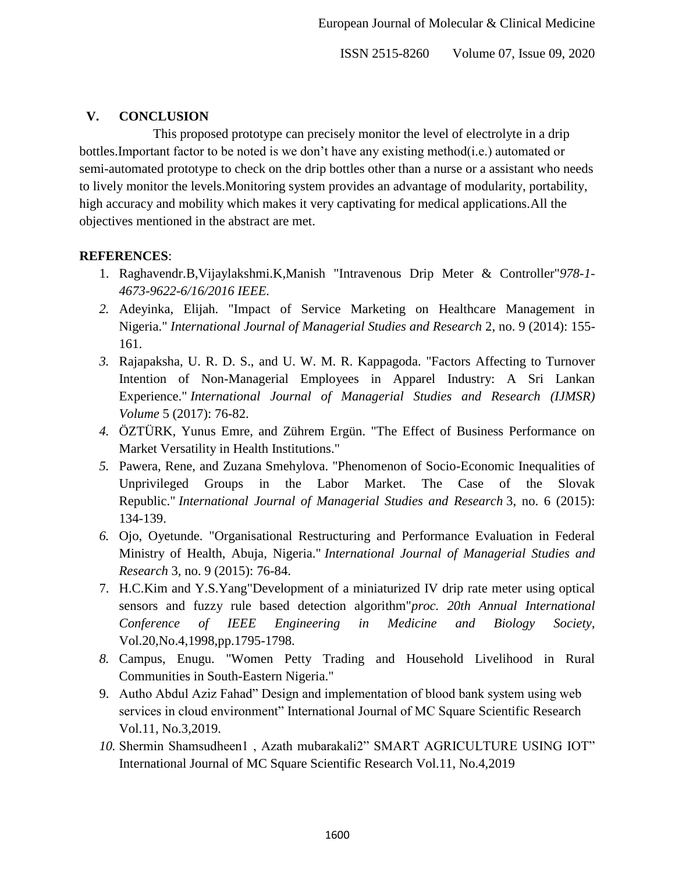# **V. CONCLUSION**

This proposed prototype can precisely monitor the level of electrolyte in a drip bottles.Important factor to be noted is we don't have any existing method(i.e.) automated or semi-automated prototype to check on the drip bottles other than a nurse or a assistant who needs to lively monitor the levels.Monitoring system provides an advantage of modularity, portability, high accuracy and mobility which makes it very captivating for medical applications.All the objectives mentioned in the abstract are met.

### **REFERENCES**:

- 1. Raghavendr.B,Vijaylakshmi.K,Manish "Intravenous Drip Meter & Controller"*978-1- 4673-9622-6/16/2016 IEEE.*
- *2.* Adeyinka, Elijah. "Impact of Service Marketing on Healthcare Management in Nigeria." *International Journal of Managerial Studies and Research* 2, no. 9 (2014): 155- 161.
- *3.* Rajapaksha, U. R. D. S., and U. W. M. R. Kappagoda. "Factors Affecting to Turnover Intention of Non-Managerial Employees in Apparel Industry: A Sri Lankan Experience." *International Journal of Managerial Studies and Research (IJMSR) Volume* 5 (2017): 76-82.
- *4.* ÖZTÜRK, Yunus Emre, and Zührem Ergün. "The Effect of Business Performance on Market Versatility in Health Institutions."
- *5.* Pawera, Rene, and Zuzana Smehylova. "Phenomenon of Socio-Economic Inequalities of Unprivileged Groups in the Labor Market. The Case of the Slovak Republic." *International Journal of Managerial Studies and Research* 3, no. 6 (2015): 134-139.
- *6.* Ojo, Oyetunde. "Organisational Restructuring and Performance Evaluation in Federal Ministry of Health, Abuja, Nigeria." *International Journal of Managerial Studies and Research* 3, no. 9 (2015): 76-84.
- 7. H.C.Kim and Y.S.Yang"Development of a miniaturized IV drip rate meter using optical sensors and fuzzy rule based detection algorithm"*proc. 20th Annual International Conference of IEEE Engineering in Medicine and Biology Society,*  Vol.20,No.4,1998,pp.1795-1798.
- *8.* Campus, Enugu. "Women Petty Trading and Household Livelihood in Rural Communities in South-Eastern Nigeria."
- 9. Autho Abdul Aziz Fahad" Design and implementation of blood bank system using web services in cloud environment" International Journal of MC Square Scientific Research Vol.11, No.3,2019.
- *10.* Shermin Shamsudheen1 , Azath mubarakali2" SMART AGRICULTURE USING IOT" International Journal of MC Square Scientific Research Vol.11, No.4,2019